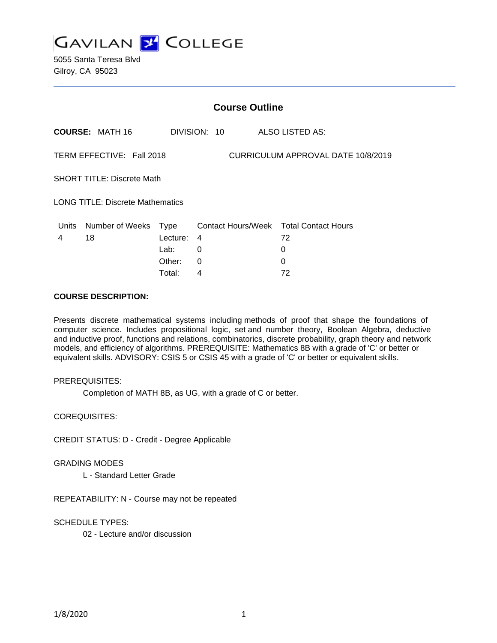

5055 Santa Teresa Blvd Gilroy, CA 95023

|                                                                        | <b>Course Outline</b>      |          |                |  |                                        |  |
|------------------------------------------------------------------------|----------------------------|----------|----------------|--|----------------------------------------|--|
|                                                                        | <b>COURSE: MATH 16</b>     |          | DIVISION: 10   |  | ALSO LISTED AS:                        |  |
| <b>CURRICULUM APPROVAL DATE 10/8/2019</b><br>TERM EFFECTIVE: Fall 2018 |                            |          |                |  |                                        |  |
| <b>SHORT TITLE: Discrete Math</b>                                      |                            |          |                |  |                                        |  |
| <b>LONG TITLE: Discrete Mathematics</b>                                |                            |          |                |  |                                        |  |
|                                                                        | Units Number of Weeks Type |          |                |  | Contact Hours/Week Total Contact Hours |  |
| 4                                                                      | 18                         | Lecture: | $\overline{4}$ |  | 72                                     |  |
|                                                                        |                            | Lab:     | 0              |  | 0                                      |  |
|                                                                        |                            | Other:   | 0              |  | $\Omega$                               |  |
|                                                                        |                            | Total:   | 4              |  | 72                                     |  |

## **COURSE DESCRIPTION:**

Presents discrete mathematical systems including methods of proof that shape the foundations of computer science. Includes propositional logic, set and number theory, Boolean Algebra, deductive and inductive proof, functions and relations, combinatorics, discrete probability, graph theory and network models, and efficiency of algorithms. PREREQUISITE: Mathematics 8B with a grade of 'C' or better or equivalent skills. ADVISORY: CSIS 5 or CSIS 45 with a grade of 'C' or better or equivalent skills.

#### PREREQUISITES:

Completion of MATH 8B, as UG, with a grade of C or better.

COREQUISITES:

CREDIT STATUS: D - Credit - Degree Applicable

#### GRADING MODES

L - Standard Letter Grade

REPEATABILITY: N - Course may not be repeated

SCHEDULE TYPES:

02 - Lecture and/or discussion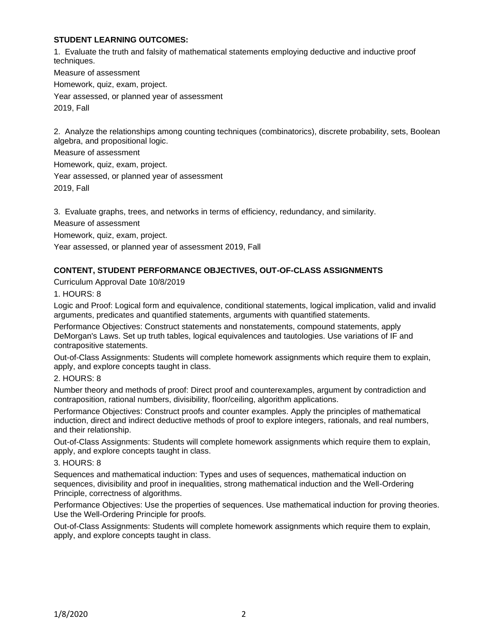## **STUDENT LEARNING OUTCOMES:**

1. Evaluate the truth and falsity of mathematical statements employing deductive and inductive proof techniques.

Measure of assessment Homework, quiz, exam, project. Year assessed, or planned year of assessment 2019, Fall

2. Analyze the relationships among counting techniques (combinatorics), discrete probability, sets, Boolean algebra, and propositional logic.

Measure of assessment

Homework, quiz, exam, project.

Year assessed, or planned year of assessment

2019, Fall

3. Evaluate graphs, trees, and networks in terms of efficiency, redundancy, and similarity.

Measure of assessment

Homework, quiz, exam, project.

Year assessed, or planned year of assessment 2019, Fall

# **CONTENT, STUDENT PERFORMANCE OBJECTIVES, OUT-OF-CLASS ASSIGNMENTS**

Curriculum Approval Date 10/8/2019

1. HOURS: 8

Logic and Proof: Logical form and equivalence, conditional statements, logical implication, valid and invalid arguments, predicates and quantified statements, arguments with quantified statements.

Performance Objectives: Construct statements and nonstatements, compound statements, apply DeMorgan's Laws. Set up truth tables, logical equivalences and tautologies. Use variations of IF and contrapositive statements.

Out-of-Class Assignments: Students will complete homework assignments which require them to explain, apply, and explore concepts taught in class.

2. HOURS: 8

Number theory and methods of proof: Direct proof and counterexamples, argument by contradiction and contraposition, rational numbers, divisibility, floor/ceiling, algorithm applications.

Performance Objectives: Construct proofs and counter examples. Apply the principles of mathematical induction, direct and indirect deductive methods of proof to explore integers, rationals, and real numbers, and their relationship.

Out-of-Class Assignments: Students will complete homework assignments which require them to explain, apply, and explore concepts taught in class.

3. HOURS: 8

Sequences and mathematical induction: Types and uses of sequences, mathematical induction on sequences, divisibility and proof in inequalities, strong mathematical induction and the Well-Ordering Principle, correctness of algorithms.

Performance Objectives: Use the properties of sequences. Use mathematical induction for proving theories. Use the Well-Ordering Principle for proofs.

Out-of-Class Assignments: Students will complete homework assignments which require them to explain, apply, and explore concepts taught in class.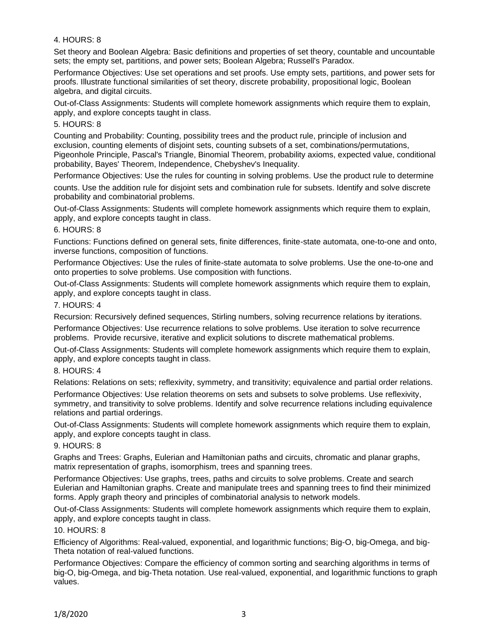## 4. HOURS: 8

Set theory and Boolean Algebra: Basic definitions and properties of set theory, countable and uncountable sets; the empty set, partitions, and power sets; Boolean Algebra; Russell's Paradox.

Performance Objectives: Use set operations and set proofs. Use empty sets, partitions, and power sets for proofs. Illustrate functional similarities of set theory, discrete probability, propositional logic, Boolean algebra, and digital circuits.

Out-of-Class Assignments: Students will complete homework assignments which require them to explain, apply, and explore concepts taught in class.

## 5. HOURS: 8

Counting and Probability: Counting, possibility trees and the product rule, principle of inclusion and exclusion, counting elements of disjoint sets, counting subsets of a set, combinations/permutations, Pigeonhole Principle, Pascal's Triangle, Binomial Theorem, probability axioms, expected value, conditional probability, Bayes' Theorem, Independence, Chebyshev's Inequality.

Performance Objectives: Use the rules for counting in solving problems. Use the product rule to determine

counts. Use the addition rule for disjoint sets and combination rule for subsets. Identify and solve discrete probability and combinatorial problems.

Out-of-Class Assignments: Students will complete homework assignments which require them to explain, apply, and explore concepts taught in class.

## 6. HOURS: 8

Functions: Functions defined on general sets, finite differences, finite-state automata, one-to-one and onto, inverse functions, composition of functions.

Performance Objectives: Use the rules of finite-state automata to solve problems. Use the one-to-one and onto properties to solve problems. Use composition with functions.

Out-of-Class Assignments: Students will complete homework assignments which require them to explain, apply, and explore concepts taught in class.

## 7. HOURS: 4

Recursion: Recursively defined sequences, Stirling numbers, solving recurrence relations by iterations.

Performance Objectives: Use recurrence relations to solve problems. Use iteration to solve recurrence problems. Provide recursive, iterative and explicit solutions to discrete mathematical problems.

Out-of-Class Assignments: Students will complete homework assignments which require them to explain, apply, and explore concepts taught in class.

## 8. HOURS: 4

Relations: Relations on sets; reflexivity, symmetry, and transitivity; equivalence and partial order relations.

Performance Objectives: Use relation theorems on sets and subsets to solve problems. Use reflexivity, symmetry, and transitivity to solve problems. Identify and solve recurrence relations including equivalence relations and partial orderings.

Out-of-Class Assignments: Students will complete homework assignments which require them to explain, apply, and explore concepts taught in class.

#### 9. HOURS: 8

Graphs and Trees: Graphs, Eulerian and Hamiltonian paths and circuits, chromatic and planar graphs, matrix representation of graphs, isomorphism, trees and spanning trees.

Performance Objectives: Use graphs, trees, paths and circuits to solve problems. Create and search Eulerian and Hamiltonian graphs. Create and manipulate trees and spanning trees to find their minimized forms. Apply graph theory and principles of combinatorial analysis to network models.

Out-of-Class Assignments: Students will complete homework assignments which require them to explain, apply, and explore concepts taught in class.

#### 10. HOURS: 8

Efficiency of Algorithms: Real-valued, exponential, and logarithmic functions; Big-O, big-Omega, and big-Theta notation of real-valued functions.

Performance Objectives: Compare the efficiency of common sorting and searching algorithms in terms of big-O, big-Omega, and big-Theta notation. Use real-valued, exponential, and logarithmic functions to graph values.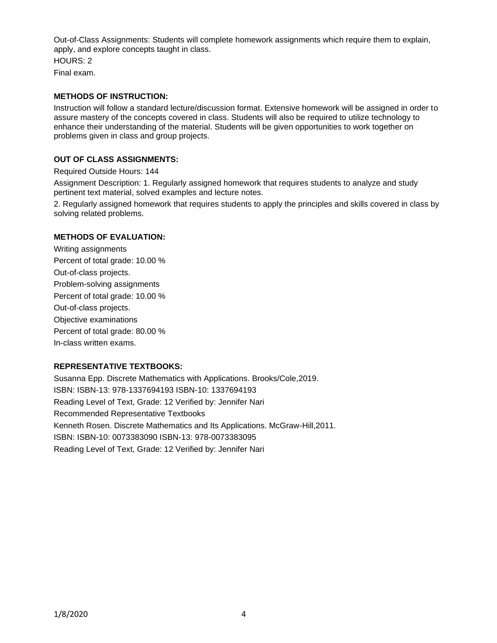Out-of-Class Assignments: Students will complete homework assignments which require them to explain, apply, and explore concepts taught in class.

HOURS: 2 Final exam.

## **METHODS OF INSTRUCTION:**

Instruction will follow a standard lecture/discussion format. Extensive homework will be assigned in order to assure mastery of the concepts covered in class. Students will also be required to utilize technology to enhance their understanding of the material. Students will be given opportunities to work together on problems given in class and group projects.

## **OUT OF CLASS ASSIGNMENTS:**

Required Outside Hours: 144

Assignment Description: 1. Regularly assigned homework that requires students to analyze and study pertinent text material, solved examples and lecture notes.

2. Regularly assigned homework that requires students to apply the principles and skills covered in class by solving related problems.

## **METHODS OF EVALUATION:**

Writing assignments Percent of total grade: 10.00 % Out-of-class projects. Problem-solving assignments Percent of total grade: 10.00 % Out-of-class projects. Objective examinations Percent of total grade: 80.00 % In-class written exams.

#### **REPRESENTATIVE TEXTBOOKS:**

Susanna Epp. Discrete Mathematics with Applications. Brooks/Cole,2019. ISBN: ISBN-13: 978-1337694193 ISBN-10: 1337694193 Reading Level of Text, Grade: 12 Verified by: Jennifer Nari Recommended Representative Textbooks Kenneth Rosen. Discrete Mathematics and Its Applications. McGraw-Hill,2011. ISBN: ISBN-10: 0073383090 ISBN-13: 978-0073383095 Reading Level of Text, Grade: 12 Verified by: Jennifer Nari